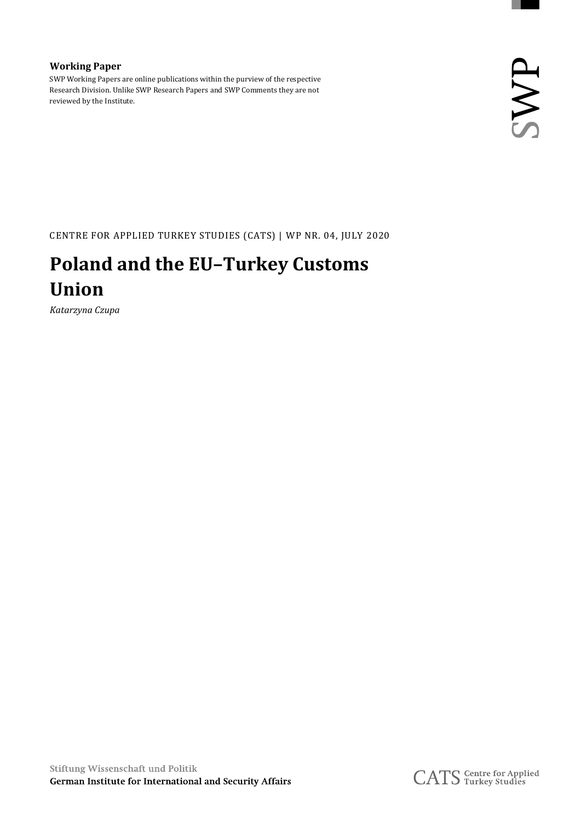#### **Working Paper** SWP Working Papers are online publications within the purview of the respective Research Division. Unlike SWP Research Papers and SWP Comments they are not reviewed by the Institute.

CENTRE FOR APPLIED TURKEY STUDIES (CATS) | WP NR. 04, JULY 2020

### **Poland and the EU–Turkey Customs Union**

*Katarzyna Czupa*

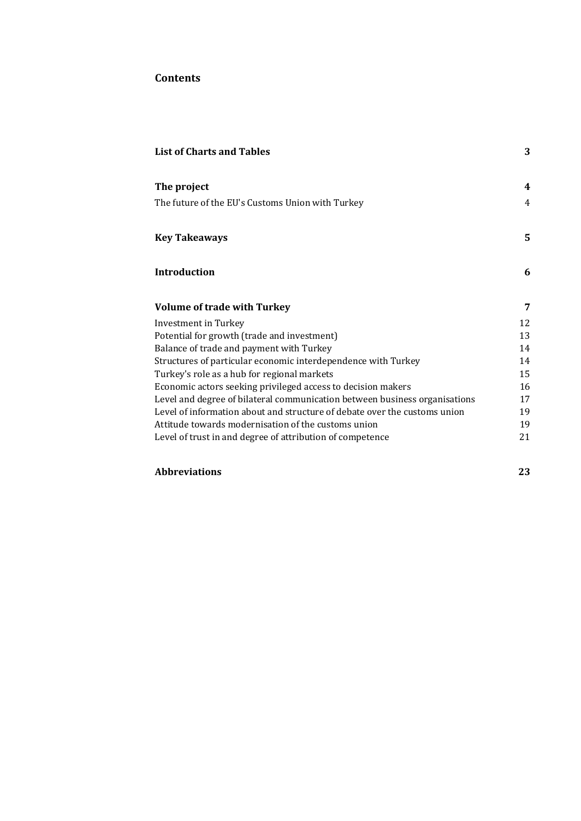#### **Contents**

| <b>List of Charts and Tables</b>                                           | 3  |
|----------------------------------------------------------------------------|----|
| The project                                                                | 4  |
| The future of the EU's Customs Union with Turkey                           | 4  |
| <b>Key Takeaways</b>                                                       | 5  |
| Introduction                                                               | 6  |
| <b>Volume of trade with Turkey</b>                                         | 7  |
| <b>Investment in Turkey</b>                                                | 12 |
| Potential for growth (trade and investment)                                | 13 |
| Balance of trade and payment with Turkey                                   | 14 |
| Structures of particular economic interdependence with Turkey              | 14 |
| Turkey's role as a hub for regional markets                                | 15 |
| Economic actors seeking privileged access to decision makers               | 16 |
| Level and degree of bilateral communication between business organisations | 17 |
| Level of information about and structure of debate over the customs union  | 19 |
| Attitude towards modernisation of the customs union                        | 19 |
| Level of trust in and degree of attribution of competence                  | 21 |

#### **Abbreviations 23**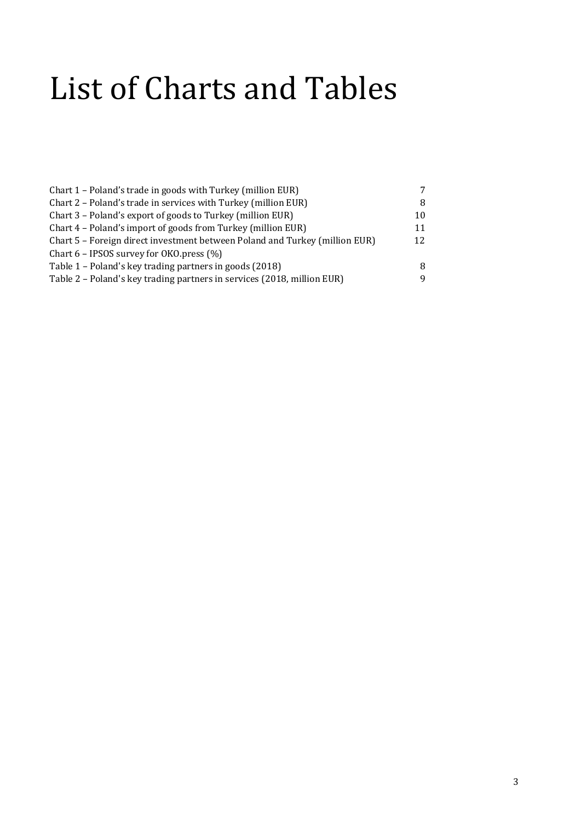## List of Charts and Tables

| Chart 1 – Poland's trade in goods with Turkey (million EUR)                 |    |
|-----------------------------------------------------------------------------|----|
| Chart 2 - Poland's trade in services with Turkey (million EUR)              |    |
| Chart 3 – Poland's export of goods to Turkey (million EUR)                  | 10 |
| Chart 4 – Poland's import of goods from Turkey (million EUR)                | 11 |
| Chart 5 – Foreign direct investment between Poland and Turkey (million EUR) | 12 |
| Chart $6$ – IPSOS survey for OKO press $(\%)$                               |    |
| Table 1 – Poland's key trading partners in goods (2018)                     | 8  |
| Table 2 - Poland's key trading partners in services (2018, million EUR)     | Q  |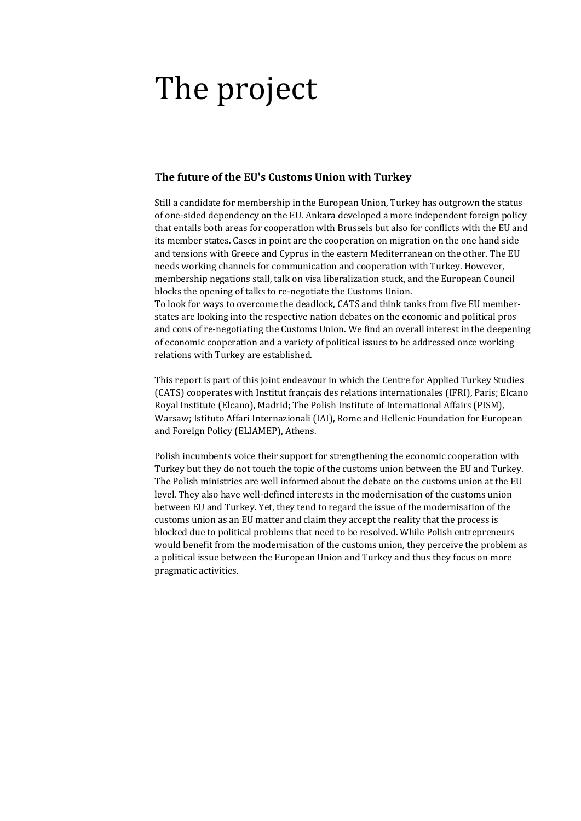## The project

#### **The future of the EU's Customs Union with Turkey**

Still a candidate for membership in the European Union, Turkey has outgrown the status of one-sided dependency on the EU. Ankara developed a more independent foreign policy that entails both areas for cooperation with Brussels but also for conflicts with the EU and its member states. Cases in point are the cooperation on migration on the one hand side and tensions with Greece and Cyprus in the eastern Mediterranean on the other. The EU needs working channels for communication and cooperation with Turkey. However, membership negations stall, talk on visa liberalization stuck, and the European Council blocks the opening of talks to re-negotiate the Customs Union. To look for ways to overcome the deadlock, CATS and think tanks from five EU member-

states are looking into the respective nation debates on the economic and political pros and cons of re-negotiating the Customs Union. We find an overall interest in the deepening of economic cooperation and a variety of political issues to be addressed once working relations with Turkey are established.

This report is part of this joint endeavour in which the Centre for Applied Turkey Studies (CATS) cooperates with Institut français des relations internationales (IFRI), Paris; Elcano Royal Institute (Elcano), Madrid; The Polish Institute of International Affairs (PISM), Warsaw; Istituto Affari Internazionali (IAI), Rome and Hellenic Foundation for European and Foreign Policy (ELIAMEP), Athens.

Polish incumbents voice their support for strengthening the economic cooperation with Turkey but they do not touch the topic of the customs union between the EU and Turkey. The Polish ministries are well informed about the debate on the customs union at the EU level. They also have well-defined interests in the modernisation of the customs union between EU and Turkey. Yet, they tend to regard the issue of the modernisation of the customs union as an EU matter and claim they accept the reality that the process is blocked due to political problems that need to be resolved. While Polish entrepreneurs would benefit from the modernisation of the customs union, they perceive the problem as a political issue between the European Union and Turkey and thus they focus on more pragmatic activities.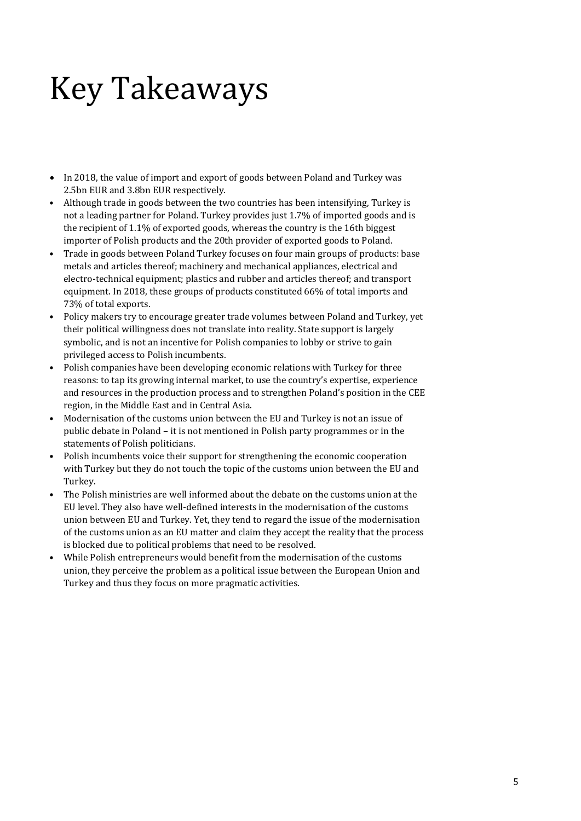## Key Takeaways

- In 2018, the value of import and export of goods between Poland and Turkey was 2.5bn EUR and 3.8bn EUR respectively.
- Although trade in goods between the two countries has been intensifying, Turkey is not a leading partner for Poland. Turkey provides just 1.7% of imported goods and is the recipient of 1.1% of exported goods, whereas the country is the 16th biggest importer of Polish products and the 20th provider of exported goods to Poland.
- Trade in goods between Poland Turkey focuses on four main groups of products: base metals and articles thereof; machinery and mechanical appliances, electrical and electro-technical equipment; plastics and rubber and articles thereof; and transport equipment. In 2018, these groups of products constituted 66% of total imports and 73% of total exports.
- Policy makers try to encourage greater trade volumes between Poland and Turkey, yet their political willingness does not translate into reality. State support is largely symbolic, and is not an incentive for Polish companies to lobby or strive to gain privileged access to Polish incumbents.
- Polish companies have been developing economic relations with Turkey for three reasons: to tap its growing internal market, to use the country's expertise, experience and resources in the production process and to strengthen Poland's position in the CEE region, in the Middle East and in Central Asia.
- Modernisation of the customs union between the EU and Turkey is not an issue of public debate in Poland – it is not mentioned in Polish party programmes or in the statements of Polish politicians.
- Polish incumbents voice their support for strengthening the economic cooperation with Turkey but they do not touch the topic of the customs union between the EU and Turkey.
- The Polish ministries are well informed about the debate on the customs union at the EU level. They also have well-defined interests in the modernisation of the customs union between EU and Turkey. Yet, they tend to regard the issue of the modernisation of the customs union as an EU matter and claim they accept the reality that the process is blocked due to political problems that need to be resolved.
- While Polish entrepreneurs would benefit from the modernisation of the customs union, they perceive the problem as a political issue between the European Union and Turkey and thus they focus on more pragmatic activities.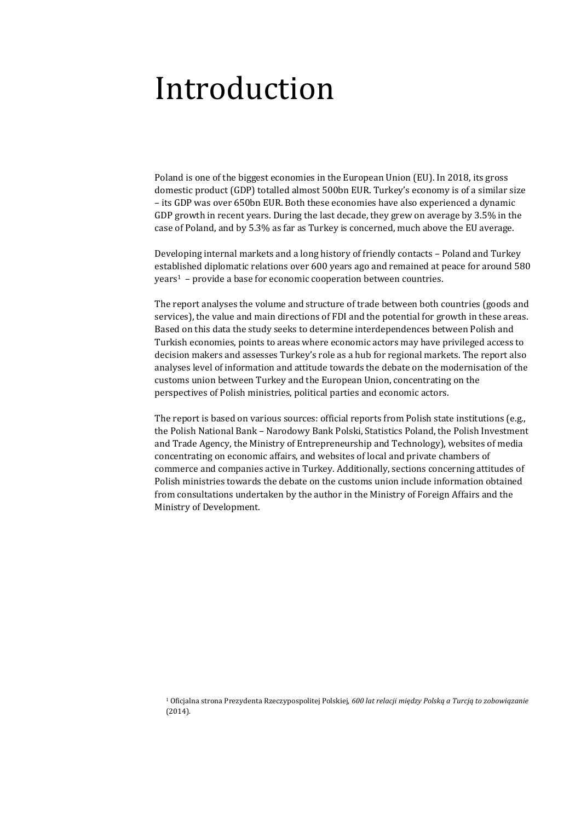### Introduction

Poland is one of the biggest economies in the European Union (EU). In 2018, its gross domestic product (GDP) totalled almost 500bn EUR. Turkey's economy is of a similar size – its GDP was over 650bn EUR. Both these economies have also experienced a dynamic GDP growth in recent years. During the last decade, they grew on average by 3.5% in the case of Poland, and by 5.3% as far as Turkey is concerned, much above the EU average.

Developing internal markets and a long history of friendly contacts – Poland and Turkey established diplomatic relations over 600 years ago and remained at peace for around 580 years<sup>1</sup> - provide a base for economic cooperation between countries.

The report analyses the volume and structure of trade between both countries (goods and services), the value and main directions of FDI and the potential for growth in these areas. Based on this data the study seeks to determine interdependences between Polish and Turkish economies, points to areas where economic actors may have privileged access to decision makers and assesses Turkey's role as a hub for regional markets. The report also analyses level of information and attitude towards the debate on the modernisation of the customs union between Turkey and the European Union, concentrating on the perspectives of Polish ministries, political parties and economic actors.

The report is based on various sources: official reports from Polish state institutions (e.g., the Polish National Bank – Narodowy Bank Polski, Statistics Poland, the Polish Investment and Trade Agency, the Ministry of Entrepreneurship and Technology), websites of media concentrating on economic affairs, and websites of local and private chambers of commerce and companies active in Turkey. Additionally, sections concerning attitudes of Polish ministries towards the debate on the customs union include information obtained from consultations undertaken by the author in the Ministry of Foreign Affairs and the Ministry of Development.

1 Oficjalna strona Prezydenta Rzeczypospolitej Polskiej, *600 lat relacji między Polską a Turcją to zobowiązanie* (2014).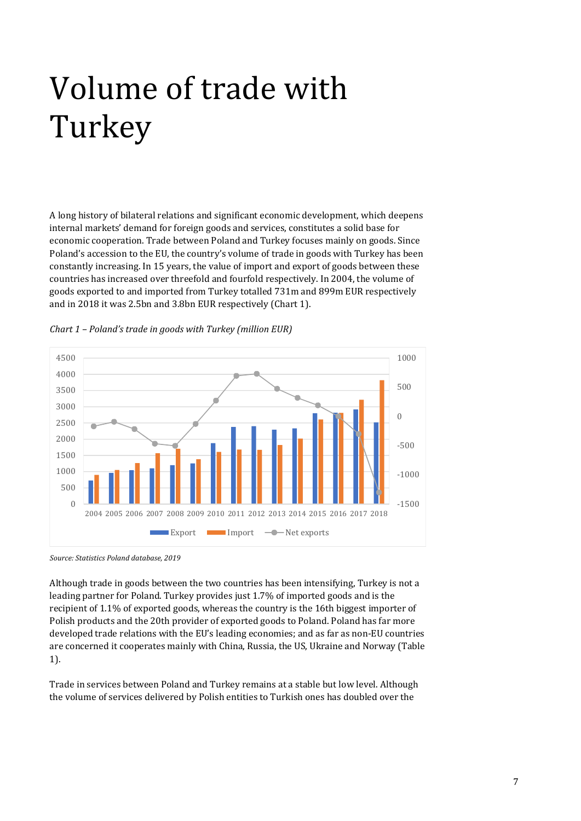# Volume of trade with Turkey

A long history of bilateral relations and significant economic development, which deepens internal markets' demand for foreign goods and services, constitutes a solid base for economic cooperation. Trade between Poland and Turkey focuses mainly on goods. Since Poland's accession to the EU, the country's volume of trade in goods with Turkey has been constantly increasing. In 15 years, the value of import and export of goods between these countries has increased over threefold and fourfold respectively. In 2004, the volume of goods exported to and imported from Turkey totalled 731m and 899m EUR respectively and in 2018 it was 2.5bn and 3.8bn EUR respectively (Chart 1).



*Chart 1 – Poland's trade in goods with Turkey (million EUR)* 

Although trade in goods between the two countries has been intensifying, Turkey is not a leading partner for Poland. Turkey provides just 1.7% of imported goods and is the recipient of 1.1% of exported goods, whereas the country is the 16th biggest importer of Polish products and the 20th provider of exported goods to Poland. Poland has far more developed trade relations with the EU's leading economies; and as far as non-EU countries are concerned it cooperates mainly with China, Russia, the US, Ukraine and Norway (Table 1).

Trade in services between Poland and Turkey remains at a stable but low level. Although the volume of services delivered by Polish entities to Turkish ones has doubled over the

*Source: Statistics Poland database, 2019*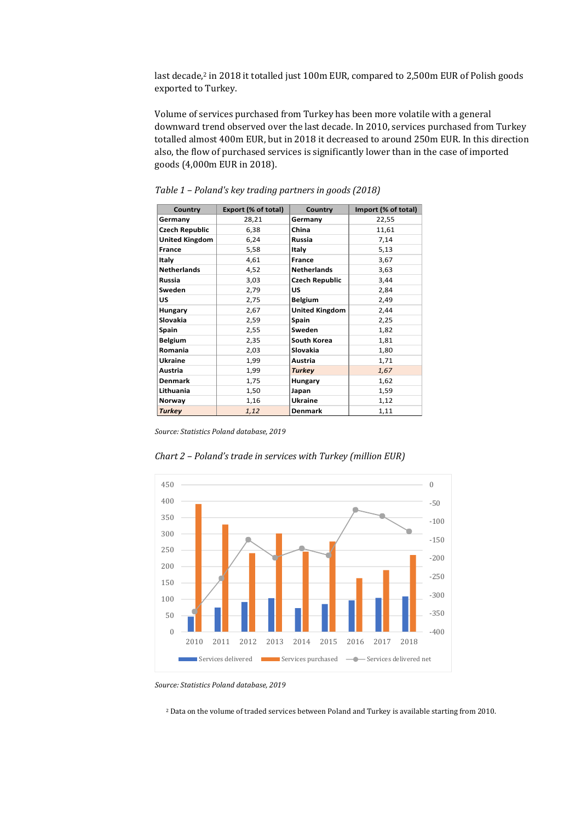last decade,<sup>2</sup> in 2018 it totalled just 100m EUR, compared to 2,500m EUR of Polish goods exported to Turkey.

Volume of services purchased from Turkey has been more volatile with a general downward trend observed over the last decade. In 2010, services purchased from Turkey totalled almost 400m EUR, but in 2018 it decreased to around 250m EUR. In this direction also, the flow of purchased services is significantly lower than in the case of imported goods (4,000m EUR in 2018).

| Country               | Export (% of total) | Country               | Import (% of total) |
|-----------------------|---------------------|-----------------------|---------------------|
| Germany               | 28,21               | Germany               | 22,55               |
| <b>Czech Republic</b> | 6,38                | China                 | 11,61               |
| <b>United Kingdom</b> | 6,24                | Russia                | 7,14                |
| France                | 5,58                | Italy                 | 5,13                |
| Italy                 | 4,61                | France                | 3,67                |
| <b>Netherlands</b>    | 4,52                | <b>Netherlands</b>    | 3,63                |
| <b>Russia</b>         | 3,03                | <b>Czech Republic</b> | 3,44                |
| Sweden                | 2,79                | US                    | 2,84                |
| US                    | 2,75                | <b>Belgium</b>        | 2,49                |
| Hungary               | 2,67                | <b>United Kingdom</b> | 2,44                |
| <b>Slovakia</b>       | 2,59                | Spain                 | 2,25                |
| Spain                 | 2,55                | Sweden                | 1,82                |
| <b>Belgium</b>        | 2,35                | South Korea           | 1,81                |
| Romania               | 2,03                | Slovakia              | 1,80                |
| <b>Ukraine</b>        | 1,99                | Austria               | 1,71                |
| Austria               | 1,99                | <b>Turkey</b>         | 1,67                |
| <b>Denmark</b>        | 1,75                | Hungary               | 1,62                |
| Lithuania             | 1,50                | Japan                 | 1,59                |
| Norway                | 1,16                | Ukraine               | 1,12                |
| <b>Turkey</b>         | 1,12                | <b>Denmark</b>        | 1,11                |

*Table 1 – Poland's key trading partners in goods (2018)*

*Source: Statistics Poland database, 2019*



*Chart 2 – Poland's trade in services with Turkey (million EUR)*

*Source: Statistics Poland database, 2019*

2 Data on the volume of traded services between Poland and Turkey is available starting from 2010.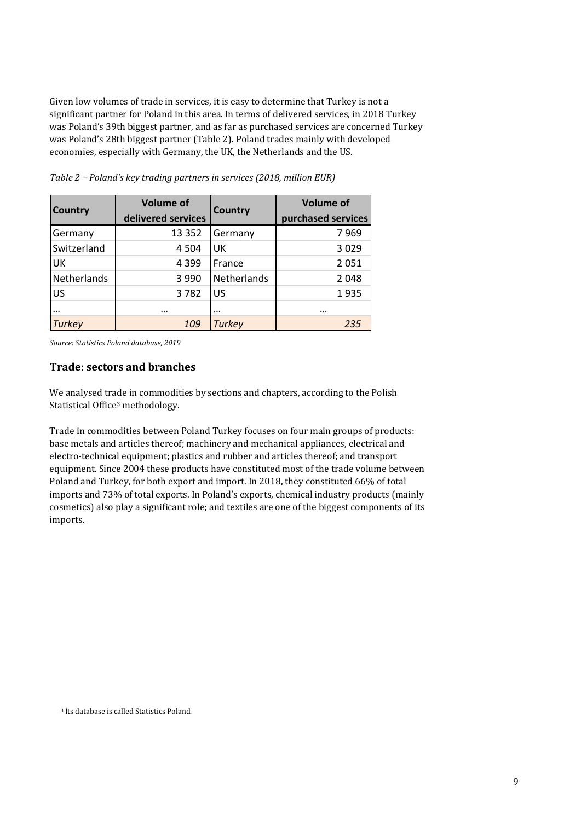Given low volumes of trade in services, it is easy to determine that Turkey is not a significant partner for Poland in this area. In terms of delivered services, in 2018 Turkey was Poland's 39th biggest partner, and as far as purchased services are concerned Turkey was Poland's 28th biggest partner (Table 2). Poland trades mainly with developed economies, especially with Germany, the UK, the Netherlands and the US.

| Country     | <b>Volume of</b><br>delivered services | Country            | <b>Volume of</b><br>purchased services |
|-------------|----------------------------------------|--------------------|----------------------------------------|
| Germany     | 13 3 5 2                               | Germany            | 7969                                   |
| Switzerland | 4 5 0 4                                | UK                 | 3029                                   |
| UK          | 4 3 9 9                                | France             | 2051                                   |
| Netherlands | 3 9 9 0                                | <b>Netherlands</b> | 2048                                   |
| US          | 3782                                   | US                 | 1935                                   |
|             | $\cdots$                               | $\ddotsc$          |                                        |
| Turkey      | 109                                    | <b>Turkey</b>      | 235                                    |

*Table 2 – Poland's key trading partners in services (2018, million EUR)*

*Source: Statistics Poland database, 2019*

#### **Trade: sectors and branches**

We analysed trade in commodities by sections and chapters, according to the Polish Statistical Office3 methodology.

Trade in commodities between Poland Turkey focuses on four main groups of products: base metals and articles thereof; machinery and mechanical appliances, electrical and electro-technical equipment; plastics and rubber and articles thereof; and transport equipment. Since 2004 these products have constituted most of the trade volume between Poland and Turkey, for both export and import. In 2018, they constituted 66% of total imports and 73% of total exports. In Poland's exports, chemical industry products (mainly cosmetics) also play a significant role; and textiles are one of the biggest components of its imports.

<sup>3</sup> Its database is called Statistics Poland.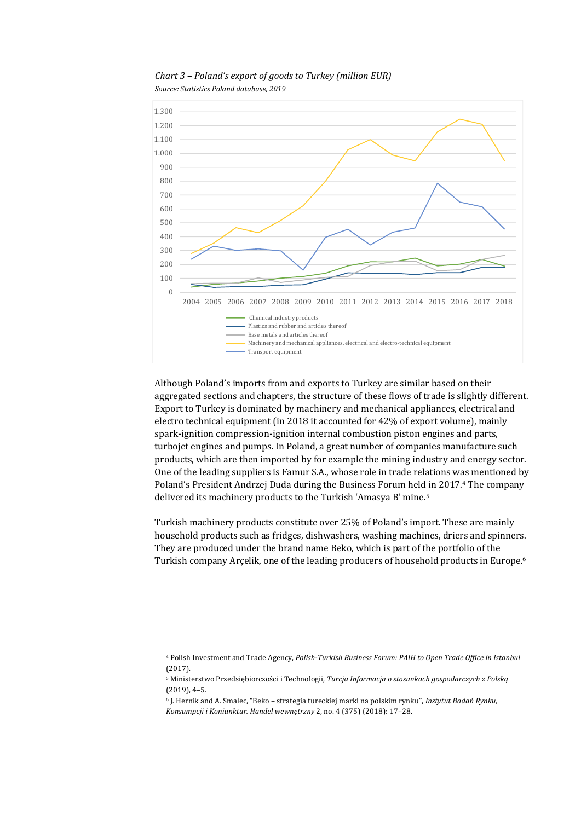

*Chart 3 – Poland's export of goods to Turkey (million EUR)*

*Source: Statistics Poland database, 2019*

Although Poland's imports from and exports to Turkey are similar based on their aggregated sections and chapters, the structure of these flows of trade is slightly different. Export to Turkey is dominated by machinery and mechanical appliances, electrical and electro technical equipment (in 2018 it accounted for 42% of export volume), mainly spark-ignition compression-ignition internal combustion piston engines and parts, turbojet engines and pumps. In Poland, a great number of companies manufacture such products, which are then imported by for example the mining industry and energy sector. One of the leading suppliers is Famur S.A., whose role in trade relations was mentioned by Poland's President Andrzej Duda during the Business Forum held in 2017.4 The company delivered its machinery products to the Turkish 'Amasya B' mine.5

Turkish machinery products constitute over 25% of Poland's import. These are mainly household products such as fridges, dishwashers, washing machines, driers and spinners. They are produced under the brand name Beko, which is part of the portfolio of the Turkish company Arçelik, one of the leading producers of household products in Europe.6

<sup>4</sup> Polish Investment and Trade Agency, *Polish‐Turkish Business Forum: PAIH to Open Trade Office in Istanbul* (2017).

<sup>5</sup> Ministerstwo Przedsiębiorczości i Technologii, *Turcja Informacja o stosunkach gospodarczych z Polską* (2019), 4–5.

<sup>6</sup> J. Hernik and A. Smalec, "Beko – strategia tureckiej marki na polskim rynku", *Instytut Badań Rynku, Konsumpcji i Koniunktur. Handel wewnętrzny* 2, no. 4 (375) (2018): 17–28.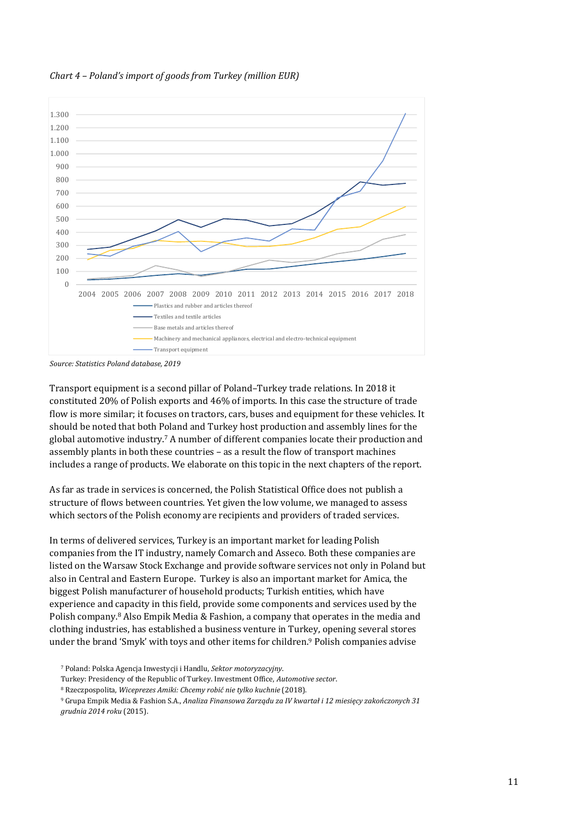



*Source: Statistics Poland database, 2019*

Transport equipment is a second pillar of Poland–Turkey trade relations. In 2018 it constituted 20% of Polish exports and 46% of imports. In this case the structure of trade flow is more similar; it focuses on tractors, cars, buses and equipment for these vehicles. It should be noted that both Poland and Turkey host production and assembly lines for the global automotive industry.7 A number of different companies locate their production and assembly plants in both these countries – as a result the flow of transport machines includes a range of products. We elaborate on this topic in the next chapters of the report.

As far as trade in services is concerned, the Polish Statistical Office does not publish a structure of flows between countries. Yet given the low volume, we managed to assess which sectors of the Polish economy are recipients and providers of traded services.

In terms of delivered services, Turkey is an important market for leading Polish companies from the IT industry, namely Comarch and Asseco. Both these companies are listed on the Warsaw Stock Exchange and provide software services not only in Poland but also in Central and Eastern Europe. Turkey is also an important market for Amica, the biggest Polish manufacturer of household products; Turkish entities, which have experience and capacity in this field, provide some components and services used by the Polish company.8 Also Empik Media & Fashion, a company that operates in the media and clothing industries, has established a business venture in Turkey, opening several stores under the brand 'Smyk' with toys and other items for children.<sup>9</sup> Polish companies advise

7 Poland: Polska Agencja Inwestycji i Handlu, *Sektor motoryzacyjny*.

Turkey: Presidency of the Republic of Turkey. Investment Office, *Automotive sector*.

8 Rzeczpospolita, *Wiceprezes Amiki: Chcemy robić nie tylko kuchnie* (2018).

<sup>9</sup> Grupa Empik Media & Fashion S.A., Analiza Finansowa Zarządu za IV kwartał i 12 miesiecy zakończonych 31 *grudnia 2014 roku* (2015).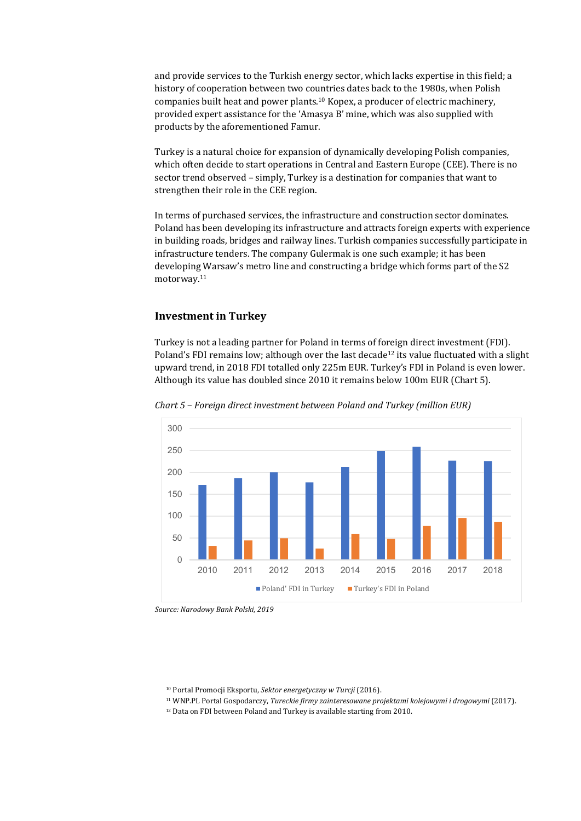and provide services to the Turkish energy sector, which lacks expertise in this field; a history of cooperation between two countries dates back to the 1980s, when Polish companies built heat and power plants.10 Kopex, a producer of electric machinery, provided expert assistance for the 'Amasya B' mine, which was also supplied with products by the aforementioned Famur.

Turkey is a natural choice for expansion of dynamically developing Polish companies, which often decide to start operations in Central and Eastern Europe (CEE). There is no sector trend observed – simply, Turkey is a destination for companies that want to strengthen their role in the CEE region.

In terms of purchased services, the infrastructure and construction sector dominates. Poland has been developing its infrastructure and attracts foreign experts with experience in building roads, bridges and railway lines. Turkish companies successfully participate in infrastructure tenders. The company Gulermak is one such example; it has been developing Warsaw's metro line and constructing a bridge which forms part of the S2 motorway.11

#### **Investment in Turkey**

Turkey is not a leading partner for Poland in terms of foreign direct investment (FDI). Poland's FDI remains low; although over the last decade<sup>12</sup> its value fluctuated with a slight upward trend, in 2018 FDI totalled only 225m EUR. Turkey's FDI in Poland is even lower. Although its value has doubled since 2010 it remains below 100m EUR (Chart 5).



*Chart 5 – Foreign direct investment between Poland and Turkey (million EUR)*

*Source: Narodowy Bank Polski, 2019*

10 Portal Promocji Eksportu, *Sektor energetyczny w Turcji* (2016).

11 WNP.PL Portal Gospodarczy, *Tureckie firmy zainteresowane projektami kolejowymi i drogowymi* (2017).

12 Data on FDI between Poland and Turkey is available starting from 2010.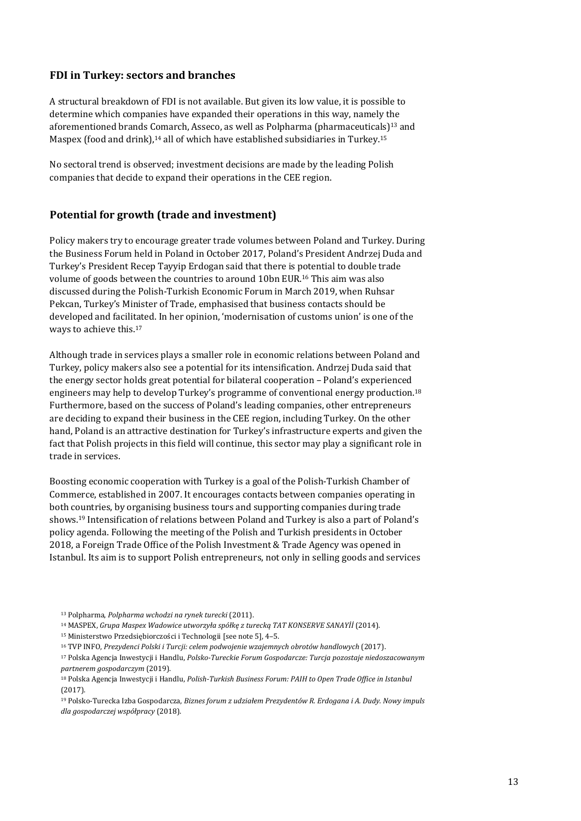#### **FDI in Turkey: sectors and branches**

A structural breakdown of FDI is not available. But given its low value, it is possible to determine which companies have expanded their operations in this way, namely the aforementioned brands Comarch, Asseco, as well as Polpharma (pharmaceuticals)13 and Maspex (food and drink), $14$  all of which have established subsidiaries in Turkey.<sup>15</sup>

No sectoral trend is observed; investment decisions are made by the leading Polish companies that decide to expand their operations in the CEE region.

#### **Potential for growth (trade and investment)**

Policy makers try to encourage greater trade volumes between Poland and Turkey. During the Business Forum held in Poland in October 2017, Poland's President Andrzej Duda and Turkey's President Recep Tayyip Erdogan said that there is potential to double trade volume of goods between the countries to around 10bn EUR.16 This aim was also discussed during the Polish-Turkish Economic Forum in March 2019, when Ruhsar Pekcan, Turkey's Minister of Trade, emphasised that business contacts should be developed and facilitated. In her opinion, 'modernisation of customs union' is one of the ways to achieve this.17

Although trade in services plays a smaller role in economic relations between Poland and Turkey, policy makers also see a potential for its intensification. Andrzej Duda said that the energy sector holds great potential for bilateral cooperation – Poland's experienced engineers may help to develop Turkey's programme of conventional energy production.18 Furthermore, based on the success of Poland's leading companies, other entrepreneurs are deciding to expand their business in the CEE region, including Turkey. On the other hand, Poland is an attractive destination for Turkey's infrastructure experts and given the fact that Polish projects in this field will continue, this sector may play a significant role in trade in services.

Boosting economic cooperation with Turkey is a goal of the Polish-Turkish Chamber of Commerce, established in 2007. It encourages contacts between companies operating in both countries, by organising business tours and supporting companies during trade shows.19 Intensification of relations between Poland and Turkey is also a part of Poland's policy agenda. Following the meeting of the Polish and Turkish presidents in October 2018, a Foreign Trade Office of the Polish Investment & Trade Agency was opened in Istanbul. Its aim is to support Polish entrepreneurs, not only in selling goods and services

- 14 MASPEX, *Grupa Maspex Wadowice utworzyła spółkę z turecką TAT KONSERVE SANAYİİ* (2014).
- 15 Ministerstwo Przedsiębiorczości i Technologii [see note 5], 4–5.
- 16 TVP INFO, *Prezydenci Polski i Turcji: celem podwojenie wzajemnych obrotów handlowych* (2017).
- 17 Polska Agencja Inwestycji i Handlu, *Polsko‐Tureckie Forum Gospodarcze: Turcja pozostaje niedoszacowanym partnerem gospodarczym* (2019).
- 18 Polska Agencja Inwestycji i Handlu, *Polish‐Turkish Business Forum: PAIH to Open Trade Office in Istanbul* (2017).
- 19 Polsko-Turecka Izba Gospodarcza, *Biznes forum z udziałem Prezydentów R. Erdogana i A. Dudy. Nowy impuls dla gospodarczej współpracy* (2018).

<sup>13</sup> Polpharma, *Polpharma wchodzi na rynek turecki* (2011).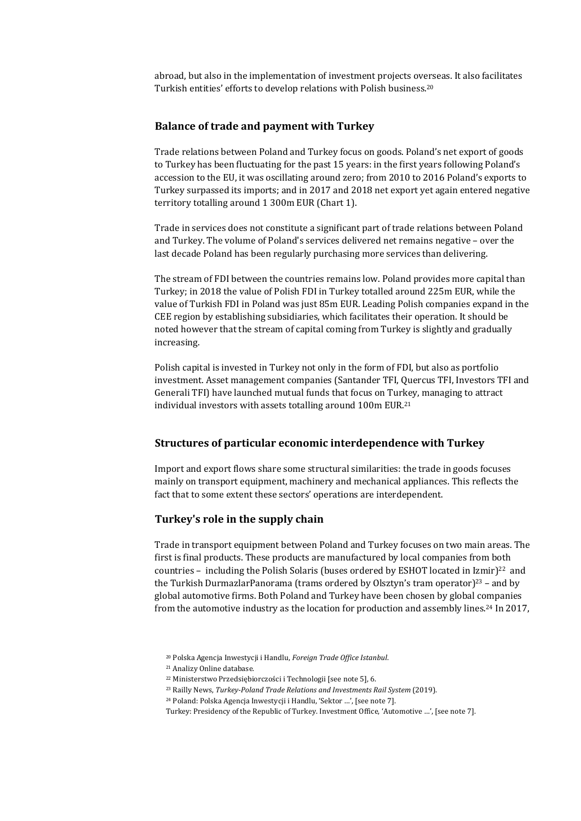abroad, but also in the implementation of investment projects overseas. It also facilitates Turkish entities' efforts to develop relations with Polish business.20

#### **Balance of trade and payment with Turkey**

Trade relations between Poland and Turkey focus on goods. Poland's net export of goods to Turkey has been fluctuating for the past 15 years: in the first years following Poland's accession to the EU, it was oscillating around zero; from 2010 to 2016 Poland's exports to Turkey surpassed its imports; and in 2017 and 2018 net export yet again entered negative territory totalling around 1 300m EUR (Chart 1).

Trade in services does not constitute a significant part of trade relations between Poland and Turkey. The volume of Poland's services delivered net remains negative – over the last decade Poland has been regularly purchasing more services than delivering.

The stream of FDI between the countries remains low. Poland provides more capital than Turkey; in 2018 the value of Polish FDI in Turkey totalled around 225m EUR, while the value of Turkish FDI in Poland was just 85m EUR. Leading Polish companies expand in the CEE region by establishing subsidiaries, which facilitates their operation. It should be noted however that the stream of capital coming from Turkey is slightly and gradually increasing.

Polish capital is invested in Turkey not only in the form of FDI, but also as portfolio investment. Asset management companies (Santander TFI, Quercus TFI, Investors TFI and Generali TFI) have launched mutual funds that focus on Turkey, managing to attract individual investors with assets totalling around 100m EUR.21

#### **Structures of particular economic interdependence with Turkey**

Import and export flows share some structural similarities: the trade in goods focuses mainly on transport equipment, machinery and mechanical appliances. This reflects the fact that to some extent these sectors' operations are interdependent.

#### **Turkey's role in the supply chain**

Trade in transport equipment between Poland and Turkey focuses on two main areas. The first is final products. These products are manufactured by local companies from both countries – including the Polish Solaris (buses ordered by ESHOT located in Izmir) $22$  and the Turkish DurmazlarPanorama (trams ordered by Olsztyn's tram operator)<sup>23</sup> – and by global automotive firms. Both Poland and Turkey have been chosen by global companies from the automotive industry as the location for production and assembly lines.24 In 2017,

<sup>20</sup> Polska Agencja Inwestycji i Handlu, *Foreign Trade Office Istanbul*.

<sup>21</sup> Analizy Online database.

<sup>22</sup> Ministerstwo Przedsiębiorczości i Technologii [see note 5], 6.

<sup>23</sup> Railly News, *Turkey‐Poland Trade Relations and Investments Rail System* (2019).

<sup>24</sup> Poland: Polska Agencja Inwestycji i Handlu, 'Sektor …', [see note 7].

Turkey: Presidency of the Republic of Turkey. Investment Office, 'Automotive …', [see note 7].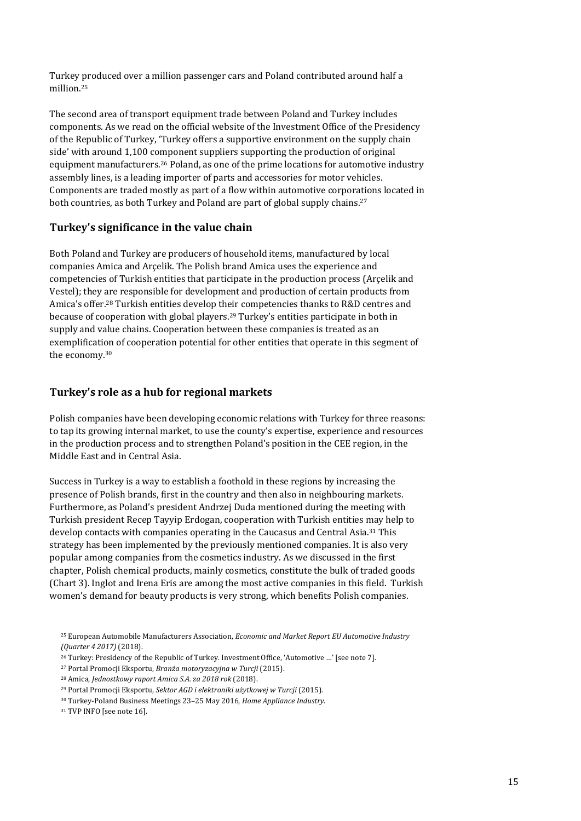Turkey produced over a million passenger cars and Poland contributed around half a million.25

The second area of transport equipment trade between Poland and Turkey includes components. As we read on the official website of the Investment Office of the Presidency of the Republic of Turkey, 'Turkey offers a supportive environment on the supply chain side' with around 1,100 component suppliers supporting the production of original equipment manufacturers.26 Poland, as one of the prime locations for automotive industry assembly lines, is a leading importer of parts and accessories for motor vehicles. Components are traded mostly as part of a flow within automotive corporations located in both countries, as both Turkey and Poland are part of global supply chains.<sup>27</sup>

#### **Turkey's significance in the value chain**

Both Poland and Turkey are producers of household items, manufactured by local companies Amica and Arçelik. The Polish brand Amica uses the experience and competencies of Turkish entities that participate in the production process (Arçelik and Vestel); they are responsible for development and production of certain products from Amica's offer.28 Turkish entities develop their competencies thanks to R&D centres and because of cooperation with global players.29 Turkey's entities participate in both in supply and value chains. Cooperation between these companies is treated as an exemplification of cooperation potential for other entities that operate in this segment of the economy.30

#### **Turkey's role as a hub for regional markets**

Polish companies have been developing economic relations with Turkey for three reasons: to tap its growing internal market, to use the county's expertise, experience and resources in the production process and to strengthen Poland's position in the CEE region, in the Middle East and in Central Asia.

Success in Turkey is a way to establish a foothold in these regions by increasing the presence of Polish brands, first in the country and then also in neighbouring markets. Furthermore, as Poland's president Andrzej Duda mentioned during the meeting with Turkish president Recep Tayyip Erdogan, cooperation with Turkish entities may help to develop contacts with companies operating in the Caucasus and Central Asia.31 This strategy has been implemented by the previously mentioned companies. It is also very popular among companies from the cosmetics industry. As we discussed in the first chapter, Polish chemical products, mainly cosmetics, constitute the bulk of traded goods (Chart 3). Inglot and Irena Eris are among the most active companies in this field. Turkish women's demand for beauty products is very strong, which benefits Polish companies.

<sup>25</sup> European Automobile Manufacturers Association, *Economic and Market Report EU Automotive Industry (Quarter 4 2017)* (2018).

<sup>26</sup> Turkey: Presidency of the Republic of Turkey. Investment Office, 'Automotive …' [see note 7].

<sup>27</sup> Portal Promocji Eksportu, *Branża motoryzacyjna w Turcji* (2015).

<sup>28</sup> Amica, *Jednostkowy raport Amica S.A. za 2018 rok* (2018).

<sup>29</sup> Portal Promocji Eksportu, *Sektor AGD i elektroniki użytkowej w Turcji* (2015).

<sup>30</sup> Turkey-Poland Business Meetings 23–25 May 2016, *Home Appliance Industry*.

<sup>&</sup>lt;sup>31</sup> TVP INFO [see note 16].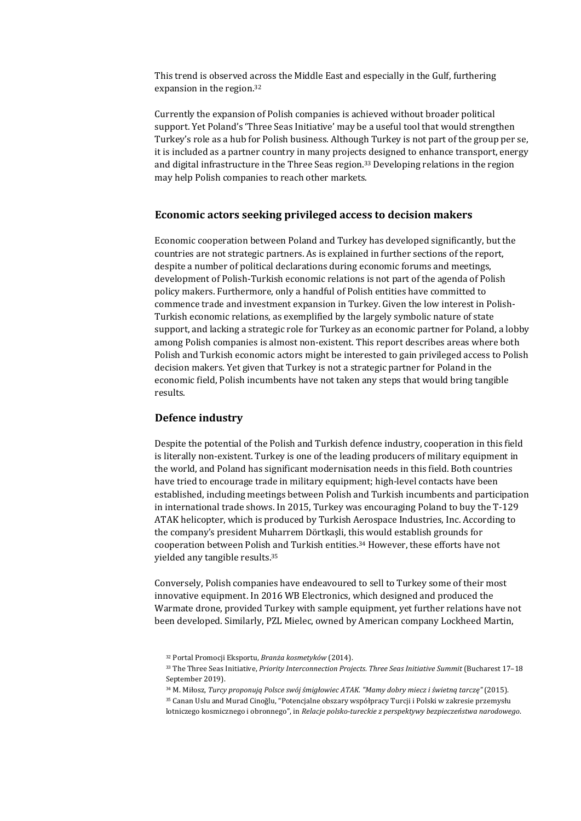This trend is observed across the Middle East and especially in the Gulf, furthering expansion in the region.32

Currently the expansion of Polish companies is achieved without broader political support. Yet Poland's 'Three Seas Initiative' may be a useful tool that would strengthen Turkey's role as a hub for Polish business. Although Turkey is not part of the group per se, it is included as a partner country in many projects designed to enhance transport, energy and digital infrastructure in the Three Seas region.33 Developing relations in the region may help Polish companies to reach other markets.

#### **Economic actors seeking privileged access to decision makers**

Economic cooperation between Poland and Turkey has developed significantly, but the countries are not strategic partners. As is explained in further sections of the report, despite a number of political declarations during economic forums and meetings, development of Polish-Turkish economic relations is not part of the agenda of Polish policy makers. Furthermore, only a handful of Polish entities have committed to commence trade and investment expansion in Turkey. Given the low interest in Polish-Turkish economic relations, as exemplified by the largely symbolic nature of state support, and lacking a strategic role for Turkey as an economic partner for Poland, a lobby among Polish companies is almost non-existent. This report describes areas where both Polish and Turkish economic actors might be interested to gain privileged access to Polish decision makers. Yet given that Turkey is not a strategic partner for Poland in the economic field, Polish incumbents have not taken any steps that would bring tangible results.

#### **Defence industry**

Despite the potential of the Polish and Turkish defence industry, cooperation in this field is literally non-existent. Turkey is one of the leading producers of military equipment in the world, and Poland has significant modernisation needs in this field. Both countries have tried to encourage trade in military equipment; high-level contacts have been established, including meetings between Polish and Turkish incumbents and participation in international trade shows. In 2015, Turkey was encouraging Poland to buy the T-129 ATAK helicopter, which is produced by Turkish Aerospace Industries, Inc. According to the company's president Muharrem Dörtkaşli, this would establish grounds for cooperation between Polish and Turkish entities.34 However, these efforts have not yielded any tangible results.35

Conversely, Polish companies have endeavoured to sell to Turkey some of their most innovative equipment. In 2016 WB Electronics, which designed and produced the Warmate drone, provided Turkey with sample equipment, yet further relations have not been developed. Similarly, PZL Mielec, owned by American company Lockheed Martin,

<sup>32</sup> Portal Promocji Eksportu, *Branża kosmetyków* (2014).

<sup>33</sup> The Three Seas Initiative, *Priority Interconnection Projects. Three Seas Initiative Summit* (Bucharest 17–18 September 2019).

<sup>&</sup>lt;sup>34</sup> M. Miłosz, Turcy proponują Polsce swój śmiąłowiec ATAK. "Mamy dobry miecz i świetną tarcze" (2015).

<sup>35</sup> Canan Uslu and Murad Cinoğlu, "Potencjalne obszary współpracy Turcji i Polski w zakresie przemysłu lotniczego kosmicznego i obronnego", in *Relacje polsko‐tureckie z perspektywy bezpieczeństwa narodowego*.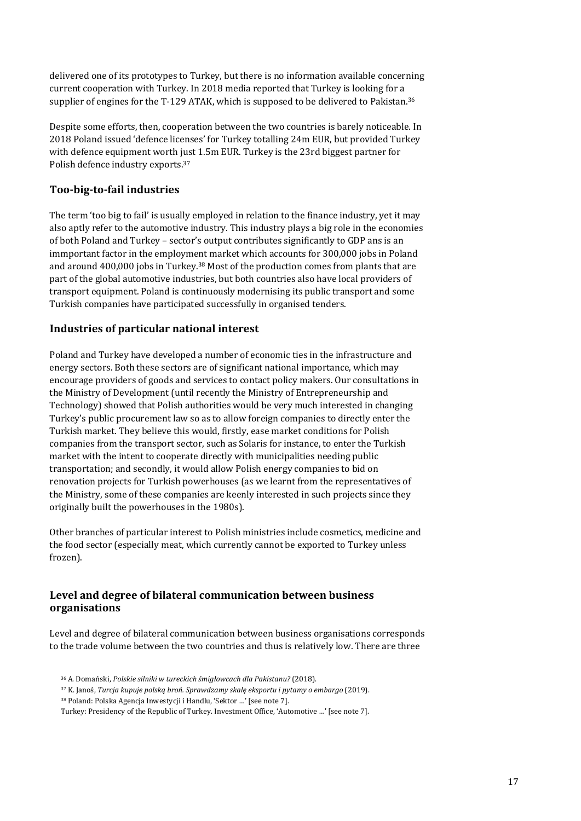delivered one of its prototypes to Turkey, but there is no information available concerning current cooperation with Turkey. In 2018 media reported that Turkey is looking for a supplier of engines for the T-129 ATAK, which is supposed to be delivered to Pakistan.<sup>36</sup>

Despite some efforts, then, cooperation between the two countries is barely noticeable. In 2018 Poland issued 'defence licenses' for Turkey totalling 24m EUR, but provided Turkey with defence equipment worth just 1.5m EUR. Turkey is the 23rd biggest partner for Polish defence industry exports.37

#### **Too‐big‐to‐fail industries**

The term 'too big to fail' is usually employed in relation to the finance industry, yet it may also aptly refer to the automotive industry. This industry plays a big role in the economies of both Poland and Turkey – sector's output contributes significantly to GDP ans is an immportant factor in the employment market which accounts for 300,000 jobs in Poland and around 400,000 jobs in Turkey.38 Most of the production comes from plants that are part of the global automotive industries, but both countries also have local providers of transport equipment. Poland is continuously modernising its public transport and some Turkish companies have participated successfully in organised tenders.

#### **Industries of particular national interest**

Poland and Turkey have developed a number of economic ties in the infrastructure and energy sectors. Both these sectors are of significant national importance, which may encourage providers of goods and services to contact policy makers. Our consultations in the Ministry of Development (until recently the Ministry of Entrepreneurship and Technology) showed that Polish authorities would be very much interested in changing Turkey's public procurement law so as to allow foreign companies to directly enter the Turkish market. They believe this would, firstly, ease market conditions for Polish companies from the transport sector, such as Solaris for instance, to enter the Turkish market with the intent to cooperate directly with municipalities needing public transportation; and secondly, it would allow Polish energy companies to bid on renovation projects for Turkish powerhouses (as we learnt from the representatives of the Ministry, some of these companies are keenly interested in such projects since they originally built the powerhouses in the 1980s).

Other branches of particular interest to Polish ministries include cosmetics, medicine and the food sector (especially meat, which currently cannot be exported to Turkey unless frozen).

#### **Level and degree of bilateral communication between business organisations**

Level and degree of bilateral communication between business organisations corresponds to the trade volume between the two countries and thus is relatively low. There are three

<sup>36</sup> A. Domański, *Polskie silniki w tureckich śmigłowcach dla Pakistanu?* (2018).

<sup>37</sup> K. Janoś, *Turcja kupuje polską broń. Sprawdzamy skalę eksportu i pytamy o embargo* (2019).

<sup>38</sup> Poland: Polska Agencja Inwestycji i Handlu, 'Sektor …' [see note 7].

Turkey: Presidency of the Republic of Turkey. Investment Office, 'Automotive …' [see note 7].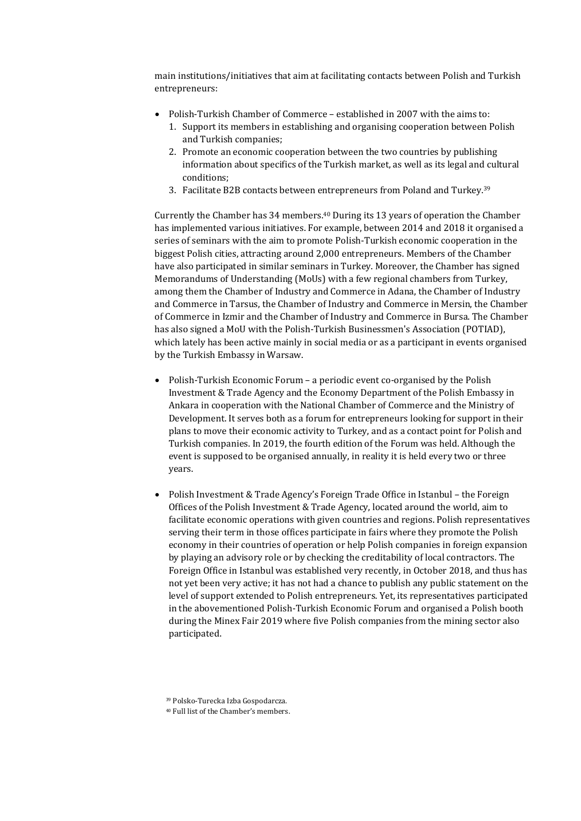main institutions/initiatives that aim at facilitating contacts between Polish and Turkish entrepreneurs:

- Polish-Turkish Chamber of Commerce established in 2007 with the aims to:
	- 1. Support its members in establishing and organising cooperation between Polish and Turkish companies;
	- 2. Promote an economic cooperation between the two countries by publishing information about specifics of the Turkish market, as well as its legal and cultural conditions;
	- 3. Facilitate B2B contacts between entrepreneurs from Poland and Turkey.39

Currently the Chamber has 34 members.40 During its 13 years of operation the Chamber has implemented various initiatives. For example, between 2014 and 2018 it organised a series of seminars with the aim to promote Polish-Turkish economic cooperation in the biggest Polish cities, attracting around 2,000 entrepreneurs. Members of the Chamber have also participated in similar seminars in Turkey. Moreover, the Chamber has signed Memorandums of Understanding (MoUs) with a few regional chambers from Turkey, among them the Chamber of Industry and Commerce in Adana, the Chamber of Industry and Commerce in Tarsus, the Chamber of Industry and Commerce in Mersin, the Chamber of Commerce in Izmir and the Chamber of Industry and Commerce in Bursa. The Chamber has also signed a MoU with the Polish-Turkish Businessmen's Association (POTIAD), which lately has been active mainly in social media or as a participant in events organised by the Turkish Embassy in Warsaw.

- Polish-Turkish Economic Forum a periodic event co-organised by the Polish Investment & Trade Agency and the Economy Department of the Polish Embassy in Ankara in cooperation with the National Chamber of Commerce and the Ministry of Development. It serves both as a forum for entrepreneurs looking for support in their plans to move their economic activity to Turkey, and as a contact point for Polish and Turkish companies. In 2019, the fourth edition of the Forum was held. Although the event is supposed to be organised annually, in reality it is held every two or three years.
- Polish Investment & Trade Agency's Foreign Trade Office in Istanbul the Foreign Offices of the Polish Investment & Trade Agency, located around the world, aim to facilitate economic operations with given countries and regions. Polish representatives serving their term in those offices participate in fairs where they promote the Polish economy in their countries of operation or help Polish companies in foreign expansion by playing an advisory role or by checking the creditability of local contractors. The Foreign Office in Istanbul was established very recently, in October 2018, and thus has not yet been very active; it has not had a chance to publish any public statement on the level of support extended to Polish entrepreneurs. Yet, its representatives participated in the abovementioned Polish-Turkish Economic Forum and organised a Polish booth during the Minex Fair 2019 where five Polish companies from the mining sector also participated.

<sup>39</sup> Polsko-Turecka Izba Gospodarcza.

<sup>40</sup> Full list of the Chamber's members.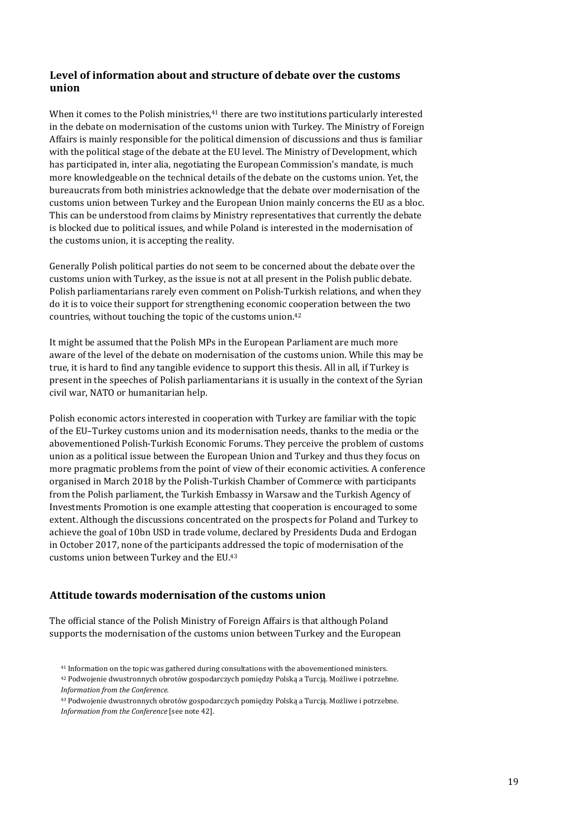#### **Level of information about and structure of debate over the customs union**

When it comes to the Polish ministries,<sup>41</sup> there are two institutions particularly interested in the debate on modernisation of the customs union with Turkey. The Ministry of Foreign Affairs is mainly responsible for the political dimension of discussions and thus is familiar with the political stage of the debate at the EU level. The Ministry of Development, which has participated in, inter alia, negotiating the European Commission's mandate, is much more knowledgeable on the technical details of the debate on the customs union. Yet, the bureaucrats from both ministries acknowledge that the debate over modernisation of the customs union between Turkey and the European Union mainly concerns the EU as a bloc. This can be understood from claims by Ministry representatives that currently the debate is blocked due to political issues, and while Poland is interested in the modernisation of the customs union, it is accepting the reality.

Generally Polish political parties do not seem to be concerned about the debate over the customs union with Turkey, as the issue is not at all present in the Polish public debate. Polish parliamentarians rarely even comment on Polish-Turkish relations, and when they do it is to voice their support for strengthening economic cooperation between the two countries, without touching the topic of the customs union.42

It might be assumed that the Polish MPs in the European Parliament are much more aware of the level of the debate on modernisation of the customs union. While this may be true, it is hard to find any tangible evidence to support this thesis. All in all, if Turkey is present in the speeches of Polish parliamentarians it is usually in the context of the Syrian civil war, NATO or humanitarian help.

Polish economic actors interested in cooperation with Turkey are familiar with the topic of the EU–Turkey customs union and its modernisation needs, thanks to the media or the abovementioned Polish-Turkish Economic Forums. They perceive the problem of customs union as a political issue between the European Union and Turkey and thus they focus on more pragmatic problems from the point of view of their economic activities. A conference organised in March 2018 by the Polish-Turkish Chamber of Commerce with participants from the Polish parliament, the Turkish Embassy in Warsaw and the Turkish Agency of Investments Promotion is one example attesting that cooperation is encouraged to some extent. Although the discussions concentrated on the prospects for Poland and Turkey to achieve the goal of 10bn USD in trade volume, declared by Presidents Duda and Erdogan in October 2017, none of the participants addressed the topic of modernisation of the customs union between Turkey and the EU.43

#### **Attitude towards modernisation of the customs union**

The official stance of the Polish Ministry of Foreign Affairs is that although Poland supports the modernisation of the customs union between Turkey and the European

<sup>41</sup> Information on the topic was gathered during consultations with the abovementioned ministers.

<sup>42</sup> Podwojenie dwustronnych obrotów gospodarczych pomiędzy Polską a Turcją. Możliwe i potrzebne. *Information from the Conference*.

<sup>43</sup> Podwojenie dwustronnych obrotów gospodarczych pomiędzy Polską a Turcją. Możliwe i potrzebne. *Information from the Conference* [see note 42].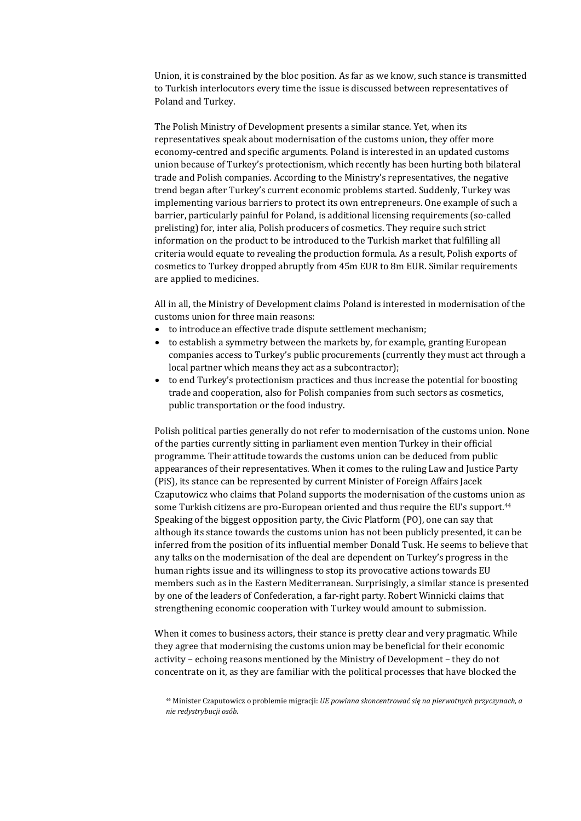Union, it is constrained by the bloc position. As far as we know, such stance is transmitted to Turkish interlocutors every time the issue is discussed between representatives of Poland and Turkey.

The Polish Ministry of Development presents a similar stance. Yet, when its representatives speak about modernisation of the customs union, they offer more economy-centred and specific arguments. Poland is interested in an updated customs union because of Turkey's protectionism, which recently has been hurting both bilateral trade and Polish companies. According to the Ministry's representatives, the negative trend began after Turkey's current economic problems started. Suddenly, Turkey was implementing various barriers to protect its own entrepreneurs. One example of such a barrier, particularly painful for Poland, is additional licensing requirements (so-called prelisting) for, inter alia, Polish producers of cosmetics. They require such strict information on the product to be introduced to the Turkish market that fulfilling all criteria would equate to revealing the production formula. As a result, Polish exports of cosmetics to Turkey dropped abruptly from 45m EUR to 8m EUR. Similar requirements are applied to medicines.

All in all, the Ministry of Development claims Poland is interested in modernisation of the customs union for three main reasons:

- to introduce an effective trade dispute settlement mechanism;
- to establish a symmetry between the markets by, for example, granting European companies access to Turkey's public procurements (currently they must act through a local partner which means they act as a subcontractor);
- to end Turkey's protectionism practices and thus increase the potential for boosting trade and cooperation, also for Polish companies from such sectors as cosmetics, public transportation or the food industry.

Polish political parties generally do not refer to modernisation of the customs union. None of the parties currently sitting in parliament even mention Turkey in their official programme. Their attitude towards the customs union can be deduced from public appearances of their representatives. When it comes to the ruling Law and Justice Party (PiS), its stance can be represented by current Minister of Foreign Affairs Jacek Czaputowicz who claims that Poland supports the modernisation of the customs union as some Turkish citizens are pro-European oriented and thus require the EU's support.<sup>44</sup> Speaking of the biggest opposition party, the Civic Platform (PO), one can say that although its stance towards the customs union has not been publicly presented, it can be inferred from the position of its influential member Donald Tusk. He seems to believe that any talks on the modernisation of the deal are dependent on Turkey's progress in the human rights issue and its willingness to stop its provocative actions towards EU members such as in the Eastern Mediterranean. Surprisingly, a similar stance is presented by one of the leaders of Confederation, a far-right party. Robert Winnicki claims that strengthening economic cooperation with Turkey would amount to submission.

When it comes to business actors, their stance is pretty clear and very pragmatic. While they agree that modernising the customs union may be beneficial for their economic activity – echoing reasons mentioned by the Ministry of Development – they do not concentrate on it, as they are familiar with the political processes that have blocked the

<sup>44</sup> Minister Czaputowicz o problemie migracji: *UE powinna skoncentrować się na pierwotnych przyczynach, a nie redystrybucji osób*.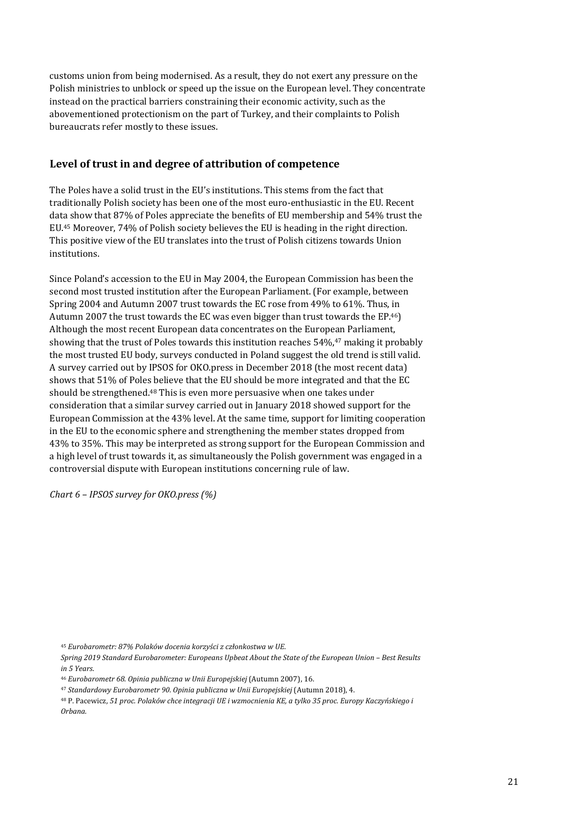customs union from being modernised. As a result, they do not exert any pressure on the Polish ministries to unblock or speed up the issue on the European level. They concentrate instead on the practical barriers constraining their economic activity, such as the abovementioned protectionism on the part of Turkey, and their complaints to Polish bureaucrats refer mostly to these issues.

#### **Level of trust in and degree of attribution of competence**

The Poles have a solid trust in the EU's institutions. This stems from the fact that traditionally Polish society has been one of the most euro-enthusiastic in the EU. Recent data show that 87% of Poles appreciate the benefits of EU membership and 54% trust the EU.45 Moreover, 74% of Polish society believes the EU is heading in the right direction. This positive view of the EU translates into the trust of Polish citizens towards Union institutions.

Since Poland's accession to the EU in May 2004, the European Commission has been the second most trusted institution after the European Parliament. (For example, between Spring 2004 and Autumn 2007 trust towards the EC rose from 49% to 61%. Thus, in Autumn 2007 the trust towards the EC was even bigger than trust towards the EP.46) Although the most recent European data concentrates on the European Parliament, showing that the trust of Poles towards this institution reaches 54%,47 making it probably the most trusted EU body, surveys conducted in Poland suggest the old trend is still valid. A survey carried out by IPSOS for OKO.press in December 2018 (the most recent data) shows that 51% of Poles believe that the EU should be more integrated and that the EC should be strengthened.<sup>48</sup> This is even more persuasive when one takes under consideration that a similar survey carried out in January 2018 showed support for the European Commission at the 43% level. At the same time, support for limiting cooperation in the EU to the economic sphere and strengthening the member states dropped from 43% to 35%. This may be interpreted as strong support for the European Commission and a high level of trust towards it, as simultaneously the Polish government was engaged in a controversial dispute with European institutions concerning rule of law.

*Chart 6 – IPSOS survey for OKO.press (%)*

<sup>45</sup> *Eurobarometr: 87% Polaków docenia korzyści z członkostwa w UE*.

*Spring 2019 Standard Eurobarometer: Europeans Upbeat About the State of the European Union – Best Results in 5 Years*.

<sup>46</sup> *Eurobarometr 68. Opinia publiczna w Unii Europejskiej* (Autumn 2007), 16.

<sup>47</sup> *Standardowy Eurobarometr 90. Opinia publiczna w Unii Europejskiej* (Autumn 2018), 4.

<sup>48</sup> P. Pacewicz, 51 proc. Polaków chce integracji UE i wzmocnienia KE, a tylko 35 proc. Europy Kaczyńskiego i *Orbana*.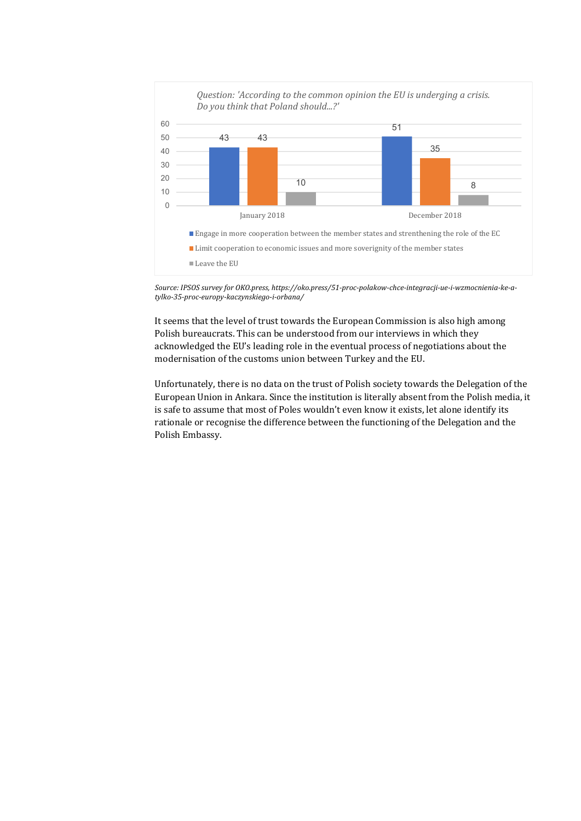

Source: IPSOS survey for OKO.press, https://oko.press/51-proc-polakow-chce-integracji-ue-i-wzmocnienia-ke-a*tylko‐35‐proc‐europy‐kaczynskiego‐i‐orbana/*

It seems that the level of trust towards the European Commission is also high among Polish bureaucrats. This can be understood from our interviews in which they acknowledged the EU's leading role in the eventual process of negotiations about the modernisation of the customs union between Turkey and the EU.

Unfortunately, there is no data on the trust of Polish society towards the Delegation of the European Union in Ankara. Since the institution is literally absent from the Polish media, it is safe to assume that most of Poles wouldn't even know it exists, let alone identify its rationale or recognise the difference between the functioning of the Delegation and the Polish Embassy.